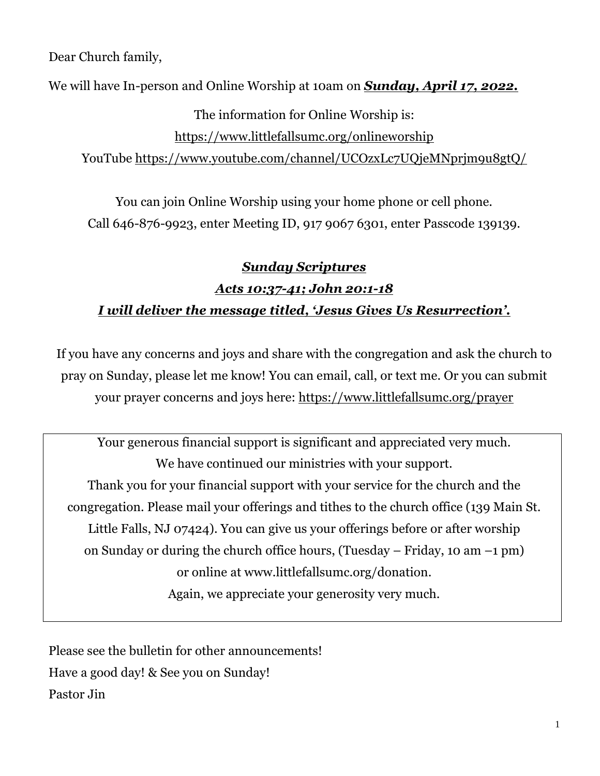Dear Church family,

We will have In-person and Online Worship at 10am on *Sunday, April 17, 2022.*

# The information for Online Worship is: <https://www.littlefallsumc.org/onlineworship>

YouTube<https://www.youtube.com/channel/UCOzxLc7UQjeMNprjm9u8gtQ/>

You can join Online Worship using your home phone or cell phone. Call 646-876-9923, enter Meeting ID, 917 9067 6301, enter Passcode 139139.

## *Sunday Scriptures Acts 10:37-41; John 20:1-18 I will deliver the message titled, 'Jesus Gives Us Resurrection'.*

If you have any concerns and joys and share with the congregation and ask the church to pray on Sunday, please let me know! You can email, call, or text me. Or you can submit your prayer concerns and joys here: <https://www.littlefallsumc.org/prayer>

Your generous financial support is significant and appreciated very much. We have continued our ministries with your support. Thank you for your financial support with your service for the church and the congregation. Please mail your offerings and tithes to the church office (139 Main St. Little Falls, NJ 07424). You can give us your offerings before or after worship on Sunday or during the church office hours, (Tuesday – Friday, 10 am –1 pm) or online at www.littlefallsumc.org/donation. Again, we appreciate your generosity very much.

Please see the bulletin for other announcements! Have a good day! & See you on Sunday! Pastor Jin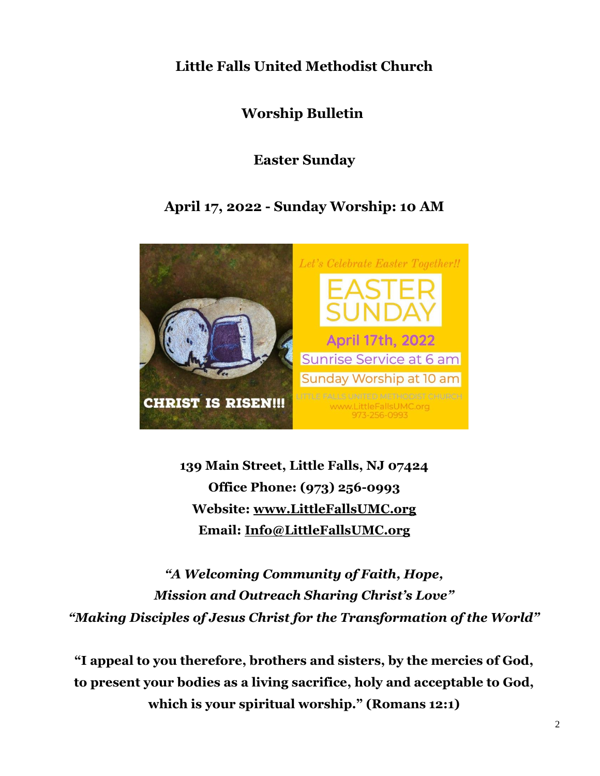**Little Falls United Methodist Church**

**Worship Bulletin**

**Easter Sunday**

**April 17, 2022 - Sunday Worship: 10 AM**



**139 Main Street, Little Falls, NJ 07424 Office Phone: (973) 256-0993 Website: [www.LittleFallsUMC.org](http://www.littlefallsumc.org/) Email: [Info@LittleFallsUMC.org](mailto:Info@LittleFallsUMC.org)**

*"A Welcoming Community of Faith, Hope, Mission and Outreach Sharing Christ's Love" "Making Disciples of Jesus Christ for the Transformation of the World"*

**"I appeal to you therefore, brothers and sisters, by the mercies of God, to present your bodies as a living sacrifice, holy and acceptable to God, which is your spiritual worship." (Romans 12:1)**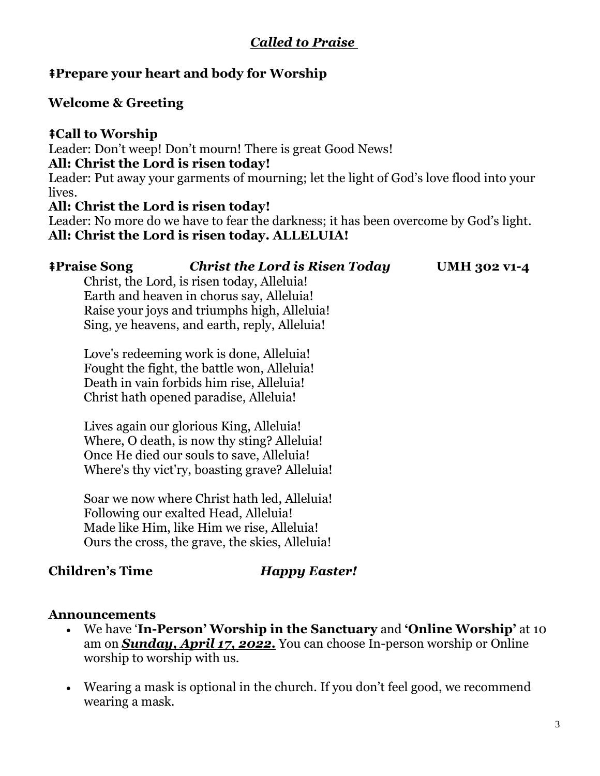### *Called to Praise*

#### ⭻**Prepare your heart and body for Worship**

#### **Welcome & Greeting**

#### ⭻**Call to Worship**

Leader: Don't weep! Don't mourn! There is great Good News! **All: Christ the Lord is risen today!** Leader: Put away your garments of mourning; let the light of God's love flood into your lives.

**All: Christ the Lord is risen today!** Leader: No more do we have to fear the darkness; it has been overcome by God's light.

**All: Christ the Lord is risen today. ALLELUIA!**

| <b>UMH 302 v1-4</b> |
|---------------------|
|                     |
|                     |
|                     |
|                     |
|                     |

Love's redeeming work is done, Alleluia! Fought the fight, the battle won, Alleluia! Death in vain forbids him rise, Alleluia! Christ hath opened paradise, Alleluia!

Lives again our glorious King, Alleluia! Where, O death, is now thy sting? Alleluia! Once He died our souls to save, Alleluia! Where's thy vict'ry, boasting grave? Alleluia!

Soar we now where Christ hath led, Alleluia! Following our exalted Head, Alleluia! Made like Him, like Him we rise, Alleluia! Ours the cross, the grave, the skies, Alleluia!

#### **Children's Time** *Happy Easter!*

#### **Announcements**

- We have '**In-Person' Worship in the Sanctuary** and **'Online Worship'** at 10 am on *Sunday, April 17, 2022.* You can choose In-person worship or Online worship to worship with us.
- Wearing a mask is optional in the church. If you don't feel good, we recommend wearing a mask.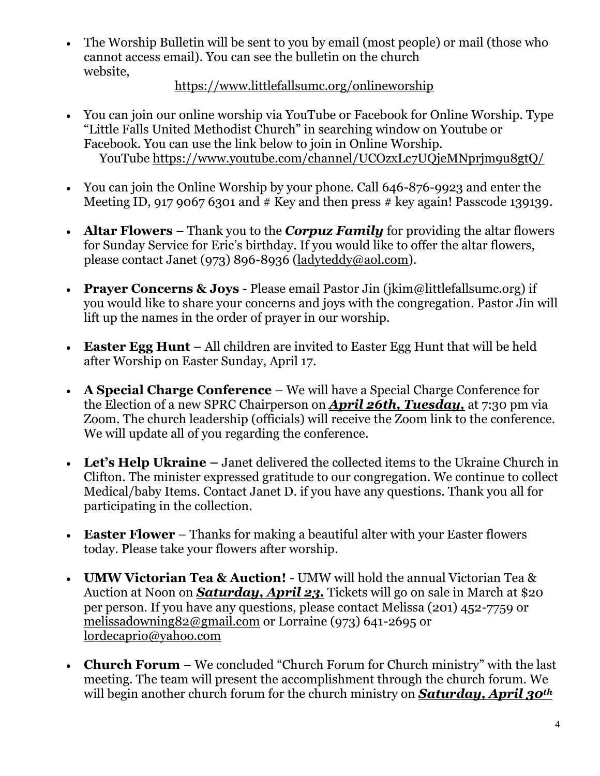• The Worship Bulletin will be sent to you by email (most people) or mail (those who cannot access email). You can see the bulletin on the church website,

#### <https://www.littlefallsumc.org/onlineworship>

- You can join our online worship via YouTube or Facebook for Online Worship. Type "Little Falls United Methodist Church" in searching window on Youtube or Facebook. You can use the link below to join in Online Worship. YouTube <https://www.youtube.com/channel/UCOzxLc7UQjeMNprjm9u8gtQ/>
- You can join the Online Worship by your phone. Call 646-876-9923 and enter the Meeting ID, 917 9067 6301 and  $\#$  Key and then press  $\#$  key again! Passcode 139139.
- **Altar Flowers** Thank you to the *Corpuz Family* for providing the altar flowers for Sunday Service for Eric's birthday. If you would like to offer the altar flowers, please contact Janet (973) 896-8936 [\(ladyteddy@aol.com\)](mailto:ladyteddy@aol.com).
- **Prayer Concerns & Joys** Please email Pastor Jin (jkim@littlefallsumc.org) if you would like to share your concerns and joys with the congregation. Pastor Jin will lift up the names in the order of prayer in our worship.
- **Easter Egg Hunt** All children are invited to Easter Egg Hunt that will be held after Worship on Easter Sunday, April 17.
- **A Special Charge Conference** We will have a Special Charge Conference for the Election of a new SPRC Chairperson on *April 26th, Tuesday,* at 7:30 pm via Zoom. The church leadership (officials) will receive the Zoom link to the conference. We will update all of you regarding the conference.
- Let's Help Ukraine Janet delivered the collected items to the Ukraine Church in Clifton. The minister expressed gratitude to our congregation. We continue to collect Medical/baby Items. Contact Janet D. if you have any questions. Thank you all for participating in the collection.
- **Easter Flower** Thanks for making a beautiful alter with your Easter flowers today. Please take your flowers after worship.
- **UMW Victorian Tea & Auction!** UMW will hold the annual Victorian Tea & Auction at Noon on *Saturday, April 23.* Tickets will go on sale in March at \$20 per person. If you have any questions, please contact Melissa (201) 452-7759 or [melissadowning82@gmail.com](mailto:melissadowning82@gmail.com) or Lorraine (973) 641-2695 or [lordecaprio@yahoo.com](mailto:lordecaprio@yahoo.com)
- **Church Forum** We concluded "Church Forum for Church ministry" with the last meeting. The team will present the accomplishment through the church forum. We will begin another church forum for the church ministry on *Saturday, April 30th*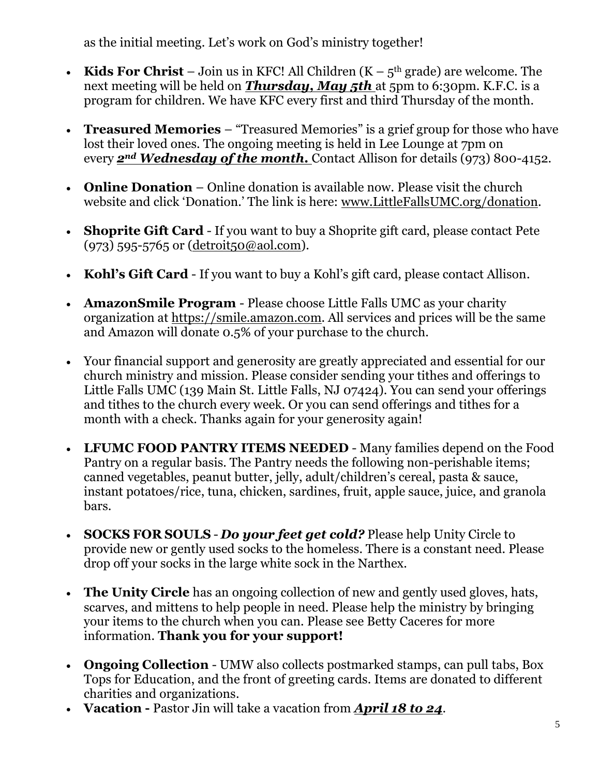as the initial meeting. Let's work on God's ministry together!

- **Kids For Christ** Join us in KFC! All Children  $(K 5<sup>th</sup> \text{ grade})$  are welcome. The next meeting will be held on **Thursday, May 5th** at 5pm to 6:30pm. K.F.C. is a program for children. We have KFC every first and third Thursday of the month.
- **Treasured Memories** "Treasured Memories" is a grief group for those who have lost their loved ones. The ongoing meeting is held in Lee Lounge at 7pm on every *2nd Wednesday of the month.* Contact Allison for details (973) 800-4152.
- **Online Donation** Online donation is available now. Please visit the church website and click 'Donation.' The link is here: [www.LittleFallsUMC.org/donation.](http://www.littlefallsumc.org/donation)
- **Shoprite Gift Card** If you want to buy a Shoprite gift card, please contact Pete (973) 595-5765 or [\(detroit50@aol.com\)](mailto:detroit50@aol.com).
- **Kohl's Gift Card** If you want to buy a Kohl's gift card, please contact Allison.
- **AmazonSmile Program** Please choose Little Falls UMC as your charity organization at https://smile.amazon.com. All services and prices will be the same and Amazon will donate 0.5% of your purchase to the church.
- Your financial support and generosity are greatly appreciated and essential for our church ministry and mission. Please consider sending your tithes and offerings to Little Falls UMC (139 Main St. Little Falls, NJ 07424). You can send your offerings and tithes to the church every week. Or you can send offerings and tithes for a month with a check. Thanks again for your generosity again!
- **LFUMC FOOD PANTRY ITEMS NEEDED** Many families depend on the Food Pantry on a regular basis. The Pantry needs the following non-perishable items; canned vegetables, peanut butter, jelly, adult/children's cereal, pasta & sauce, instant potatoes/rice, tuna, chicken, sardines, fruit, apple sauce, juice, and granola bars.
- **SOCKS FOR SOULS** *Do your feet get cold?* Please help Unity Circle to provide new or gently used socks to the homeless. There is a constant need. Please drop off your socks in the large white sock in the Narthex.
- **The Unity Circle** has an ongoing collection of new and gently used gloves, hats, scarves, and mittens to help people in need. Please help the ministry by bringing your items to the church when you can. Please see Betty Caceres for more information. **Thank you for your support!**
- **Ongoing Collection** UMW also collects postmarked stamps, can pull tabs, Box Tops for Education, and the front of greeting cards. Items are donated to different charities and organizations.
- **Vacation -** Pastor Jin will take a vacation from *April 18 to 24*.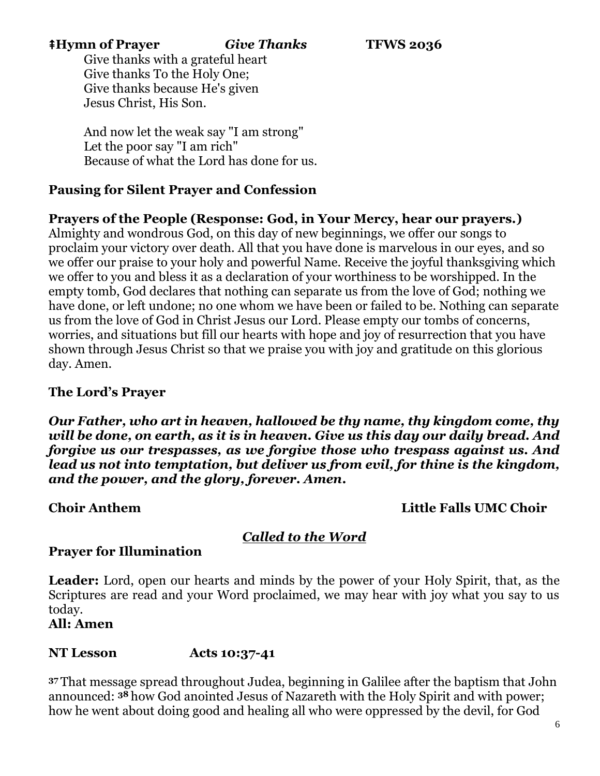## ⭻**Hymn of Prayer** *Give Thanks* **TFWS 2036**

Give thanks with a grateful heart Give thanks To the Holy One; Give thanks because He's given Jesus Christ, His Son.

And now let the weak say "I am strong" Let the poor say "I am rich" Because of what the Lord has done for us.

#### **Pausing for Silent Prayer and Confession**

**Prayers of the People (Response: God, in Your Mercy, hear our prayers.)**

Almighty and wondrous God, on this day of new beginnings, we offer our songs to proclaim your victory over death. All that you have done is marvelous in our eyes, and so we offer our praise to your holy and powerful Name. Receive the joyful thanksgiving which we offer to you and bless it as a declaration of your worthiness to be worshipped. In the empty tomb, God declares that nothing can separate us from the love of God; nothing we have done, or left undone; no one whom we have been or failed to be. Nothing can separate us from the love of God in Christ Jesus our Lord. Please empty our tombs of concerns, worries, and situations but fill our hearts with hope and joy of resurrection that you have shown through Jesus Christ so that we praise you with joy and gratitude on this glorious day. Amen.

### **The Lord's Prayer**

*Our Father, who art in heaven, hallowed be thy name, thy kingdom come, thy will be done, on earth, as it is in heaven. Give us this day our daily bread. And forgive us our trespasses, as we forgive those who trespass against us. And lead us not into temptation, but deliver us from evil, for thine is the kingdom, and the power, and the glory, forever. Amen.*

**Choir Anthem Little Falls UMC Choir**

#### *Called to the Word*

#### **Prayer for Illumination**

**Leader:** Lord, open our hearts and minds by the power of your Holy Spirit, that, as the Scriptures are read and your Word proclaimed, we may hear with joy what you say to us today.

#### **All: Amen**

#### **NT Lesson Acts 10:37-41**

**<sup>37</sup>** That message spread throughout Judea, beginning in Galilee after the baptism that John announced: **<sup>38</sup>** how God anointed Jesus of Nazareth with the Holy Spirit and with power; how he went about doing good and healing all who were oppressed by the devil, for God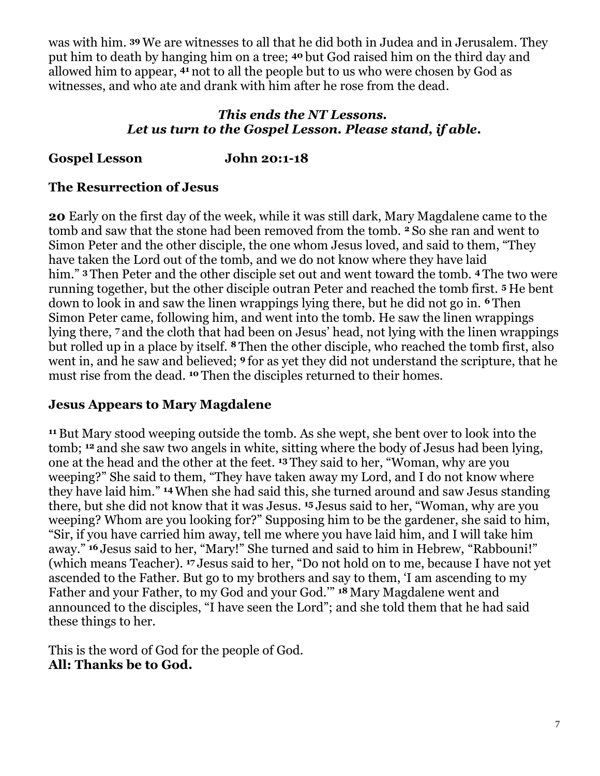was with him. **<sup>39</sup>** We are witnesses to all that he did both in Judea and in Jerusalem. They put him to death by hanging him on a tree; **<sup>40</sup>** but God raised him on the third day and allowed him to appear, **<sup>41</sup>** not to all the people but to us who were chosen by God as witnesses, and who ate and drank with him after he rose from the dead.

#### *This ends the NT Lessons. Let us turn to the Gospel Lesson. Please stand, if able.*

#### **Gospel Lesson John 20:1-18**

#### **The Resurrection of Jesus**

**20** Early on the first day of the week, while it was still dark, Mary Magdalene came to the tomb and saw that the stone had been removed from the tomb. **<sup>2</sup>** So she ran and went to Simon Peter and the other disciple, the one whom Jesus loved, and said to them, "They have taken the Lord out of the tomb, and we do not know where they have laid him." **<sup>3</sup>** Then Peter and the other disciple set out and went toward the tomb. **<sup>4</sup>** The two were running together, but the other disciple outran Peter and reached the tomb first. **<sup>5</sup>** He bent down to look in and saw the linen wrappings lying there, but he did not go in. **<sup>6</sup>** Then Simon Peter came, following him, and went into the tomb. He saw the linen wrappings lying there, **<sup>7</sup>** and the cloth that had been on Jesus' head, not lying with the linen wrappings but rolled up in a place by itself. **<sup>8</sup>** Then the other disciple, who reached the tomb first, also went in, and he saw and believed; **<sup>9</sup>** for as yet they did not understand the scripture, that he must rise from the dead. **<sup>10</sup>** Then the disciples returned to their homes.

#### **Jesus Appears to Mary Magdalene**

**<sup>11</sup>** But Mary stood weeping outside the tomb. As she wept, she bent over to look into the tomb; **<sup>12</sup>** and she saw two angels in white, sitting where the body of Jesus had been lying, one at the head and the other at the feet. **<sup>13</sup>** They said to her, "Woman, why are you weeping?" She said to them, "They have taken away my Lord, and I do not know where they have laid him." **<sup>14</sup>** When she had said this, she turned around and saw Jesus standing there, but she did not know that it was Jesus. **<sup>15</sup>** Jesus said to her, "Woman, why are you weeping? Whom are you looking for?" Supposing him to be the gardener, she said to him, "Sir, if you have carried him away, tell me where you have laid him, and I will take him away." **<sup>16</sup>** Jesus said to her, "Mary!" She turned and said to him in Hebrew, "Rabbouni!" (which means Teacher). **<sup>17</sup>** Jesus said to her, "Do not hold on to me, because I have not yet ascended to the Father. But go to my brothers and say to them, 'I am ascending to my Father and your Father, to my God and your God.'" **<sup>18</sup>** Mary Magdalene went and announced to the disciples, "I have seen the Lord"; and she told them that he had said these things to her.

This is the word of God for the people of God. **All: Thanks be to God.**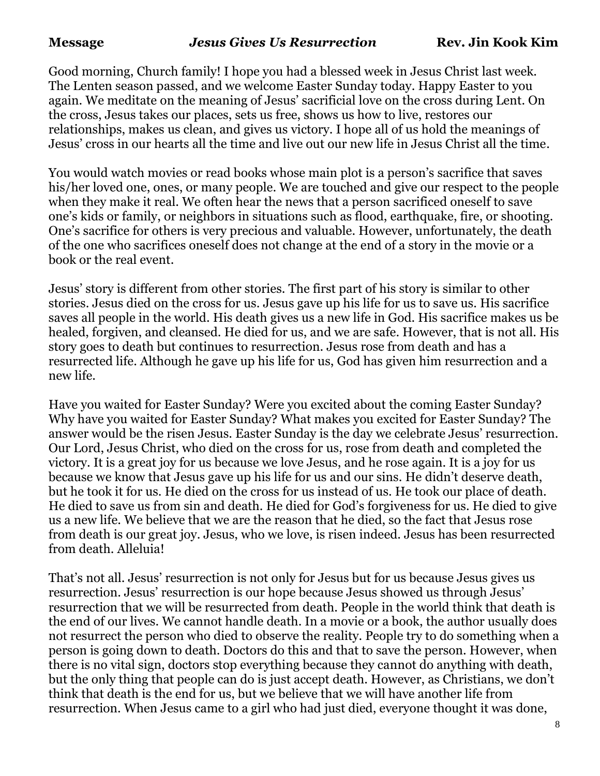Good morning, Church family! I hope you had a blessed week in Jesus Christ last week. The Lenten season passed, and we welcome Easter Sunday today. Happy Easter to you again. We meditate on the meaning of Jesus' sacrificial love on the cross during Lent. On the cross, Jesus takes our places, sets us free, shows us how to live, restores our relationships, makes us clean, and gives us victory. I hope all of us hold the meanings of Jesus' cross in our hearts all the time and live out our new life in Jesus Christ all the time.

You would watch movies or read books whose main plot is a person's sacrifice that saves his/her loved one, ones, or many people. We are touched and give our respect to the people when they make it real. We often hear the news that a person sacrificed oneself to save one's kids or family, or neighbors in situations such as flood, earthquake, fire, or shooting. One's sacrifice for others is very precious and valuable. However, unfortunately, the death of the one who sacrifices oneself does not change at the end of a story in the movie or a book or the real event.

Jesus' story is different from other stories. The first part of his story is similar to other stories. Jesus died on the cross for us. Jesus gave up his life for us to save us. His sacrifice saves all people in the world. His death gives us a new life in God. His sacrifice makes us be healed, forgiven, and cleansed. He died for us, and we are safe. However, that is not all. His story goes to death but continues to resurrection. Jesus rose from death and has a resurrected life. Although he gave up his life for us, God has given him resurrection and a new life.

Have you waited for Easter Sunday? Were you excited about the coming Easter Sunday? Why have you waited for Easter Sunday? What makes you excited for Easter Sunday? The answer would be the risen Jesus. Easter Sunday is the day we celebrate Jesus' resurrection. Our Lord, Jesus Christ, who died on the cross for us, rose from death and completed the victory. It is a great joy for us because we love Jesus, and he rose again. It is a joy for us because we know that Jesus gave up his life for us and our sins. He didn't deserve death, but he took it for us. He died on the cross for us instead of us. He took our place of death. He died to save us from sin and death. He died for God's forgiveness for us. He died to give us a new life. We believe that we are the reason that he died, so the fact that Jesus rose from death is our great joy. Jesus, who we love, is risen indeed. Jesus has been resurrected from death. Alleluia!

That's not all. Jesus' resurrection is not only for Jesus but for us because Jesus gives us resurrection. Jesus' resurrection is our hope because Jesus showed us through Jesus' resurrection that we will be resurrected from death. People in the world think that death is the end of our lives. We cannot handle death. In a movie or a book, the author usually does not resurrect the person who died to observe the reality. People try to do something when a person is going down to death. Doctors do this and that to save the person. However, when there is no vital sign, doctors stop everything because they cannot do anything with death, but the only thing that people can do is just accept death. However, as Christians, we don't think that death is the end for us, but we believe that we will have another life from resurrection. When Jesus came to a girl who had just died, everyone thought it was done,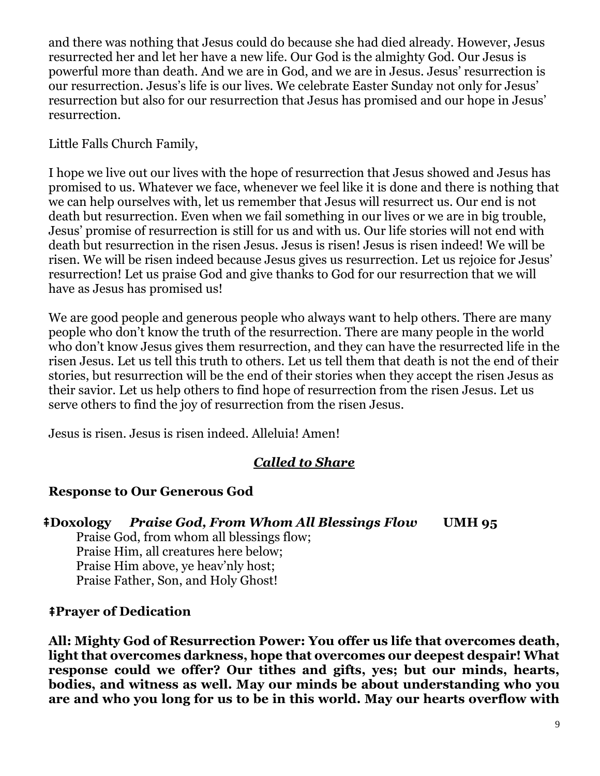and there was nothing that Jesus could do because she had died already. However, Jesus resurrected her and let her have a new life. Our God is the almighty God. Our Jesus is powerful more than death. And we are in God, and we are in Jesus. Jesus' resurrection is our resurrection. Jesus's life is our lives. We celebrate Easter Sunday not only for Jesus' resurrection but also for our resurrection that Jesus has promised and our hope in Jesus' resurrection.

Little Falls Church Family,

I hope we live out our lives with the hope of resurrection that Jesus showed and Jesus has promised to us. Whatever we face, whenever we feel like it is done and there is nothing that we can help ourselves with, let us remember that Jesus will resurrect us. Our end is not death but resurrection. Even when we fail something in our lives or we are in big trouble, Jesus' promise of resurrection is still for us and with us. Our life stories will not end with death but resurrection in the risen Jesus. Jesus is risen! Jesus is risen indeed! We will be risen. We will be risen indeed because Jesus gives us resurrection. Let us rejoice for Jesus' resurrection! Let us praise God and give thanks to God for our resurrection that we will have as Jesus has promised us!

We are good people and generous people who always want to help others. There are many people who don't know the truth of the resurrection. There are many people in the world who don't know Jesus gives them resurrection, and they can have the resurrected life in the risen Jesus. Let us tell this truth to others. Let us tell them that death is not the end of their stories, but resurrection will be the end of their stories when they accept the risen Jesus as their savior. Let us help others to find hope of resurrection from the risen Jesus. Let us serve others to find the joy of resurrection from the risen Jesus.

Jesus is risen. Jesus is risen indeed. Alleluia! Amen!

## *Called to Share*

### **Response to Our Generous God**

#### ⭻**Doxology** *Praise God, From Whom All Blessings Flow* **UMH 95**

Praise God, from whom all blessings flow; Praise Him, all creatures here below; Praise Him above, ye heav'nly host; Praise Father, Son, and Holy Ghost!

### ⭻**Prayer of Dedication**

**All: Mighty God of Resurrection Power: You offer us life that overcomes death, light that overcomes darkness, hope that overcomes our deepest despair! What response could we offer? Our tithes and gifts, yes; but our minds, hearts, bodies, and witness as well. May our minds be about understanding who you are and who you long for us to be in this world. May our hearts overflow with**